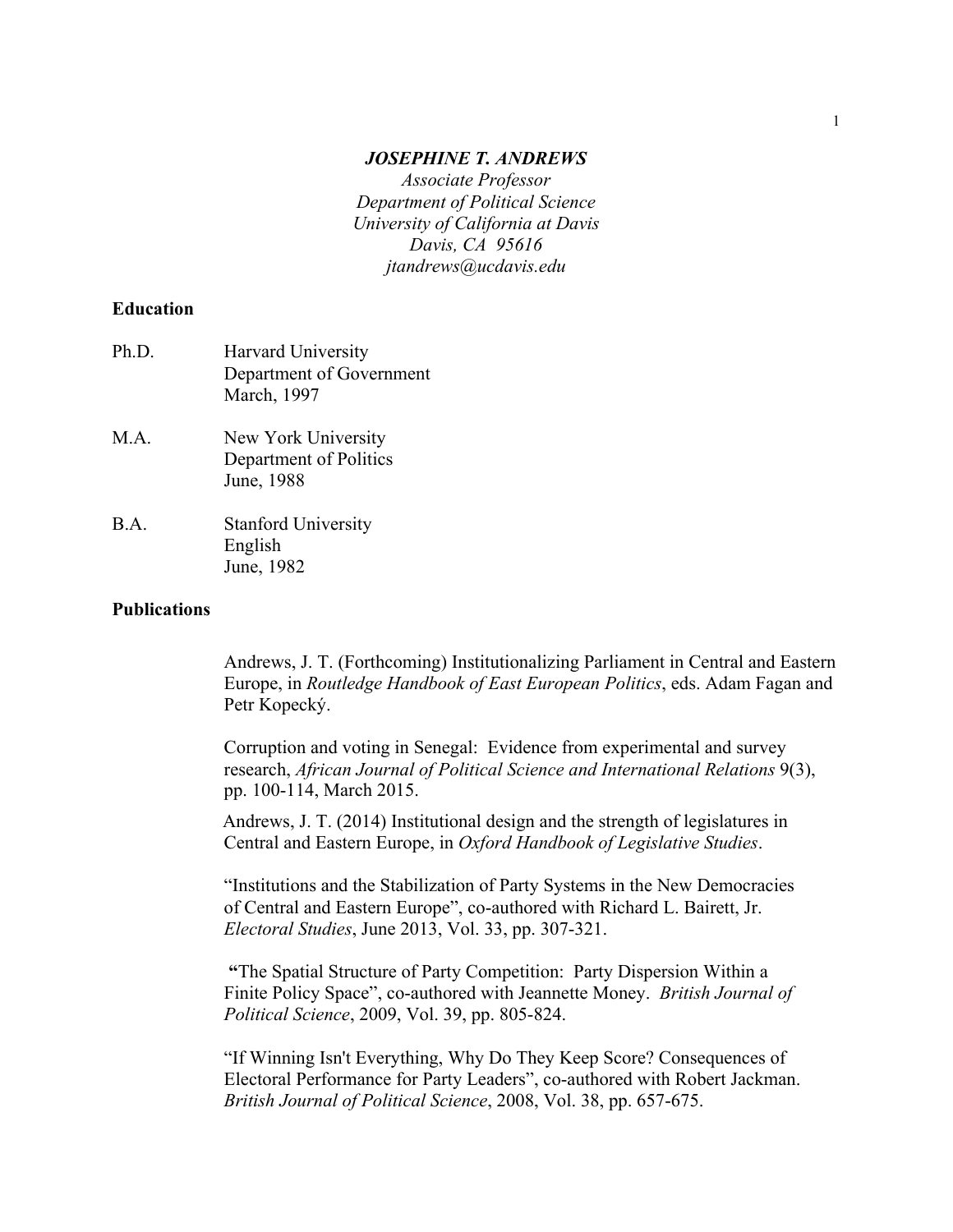#### *JOSEPHINE T. ANDREWS*

*Associate Professor Department of Political Science University of California at Davis Davis, CA 95616 jtandrews@ucdavis.edu*

### **Education**

| Ph.D. | Harvard University<br>Department of Government<br>March, 1997 |
|-------|---------------------------------------------------------------|
| M.A.  | New York University<br>Department of Politics<br>June, 1988   |
| B.A.  | <b>Stanford University</b><br>English                         |

June, 1982

### **Publications**

Andrews, J. T. (Forthcoming) Institutionalizing Parliament in Central and Eastern Europe, in *Routledge Handbook of East European Politics*, eds. Adam Fagan and Petr Kopecký.

Corruption and voting in Senegal: Evidence from experimental and survey research, *African Journal of Political Science and International Relations* 9(3), pp. 100-114, March 2015.

Andrews, J. T. (2014) Institutional design and the strength of legislatures in Central and Eastern Europe, in *Oxford Handbook of Legislative Studies*.

"Institutions and the Stabilization of Party Systems in the New Democracies of Central and Eastern Europe", co-authored with Richard L. Bairett, Jr. *Electoral Studies*, June 2013, Vol. 33, pp. 307-321.

**"**The Spatial Structure of Party Competition: Party Dispersion Within a Finite Policy Space", co-authored with Jeannette Money. *British Journal of Political Science*, 2009, Vol. 39, pp. 805-824.

"If Winning Isn't Everything, Why Do They Keep Score? Consequences of Electoral Performance for Party Leaders", co-authored with Robert Jackman. *British Journal of Political Science*, 2008, Vol. 38, pp. 657-675.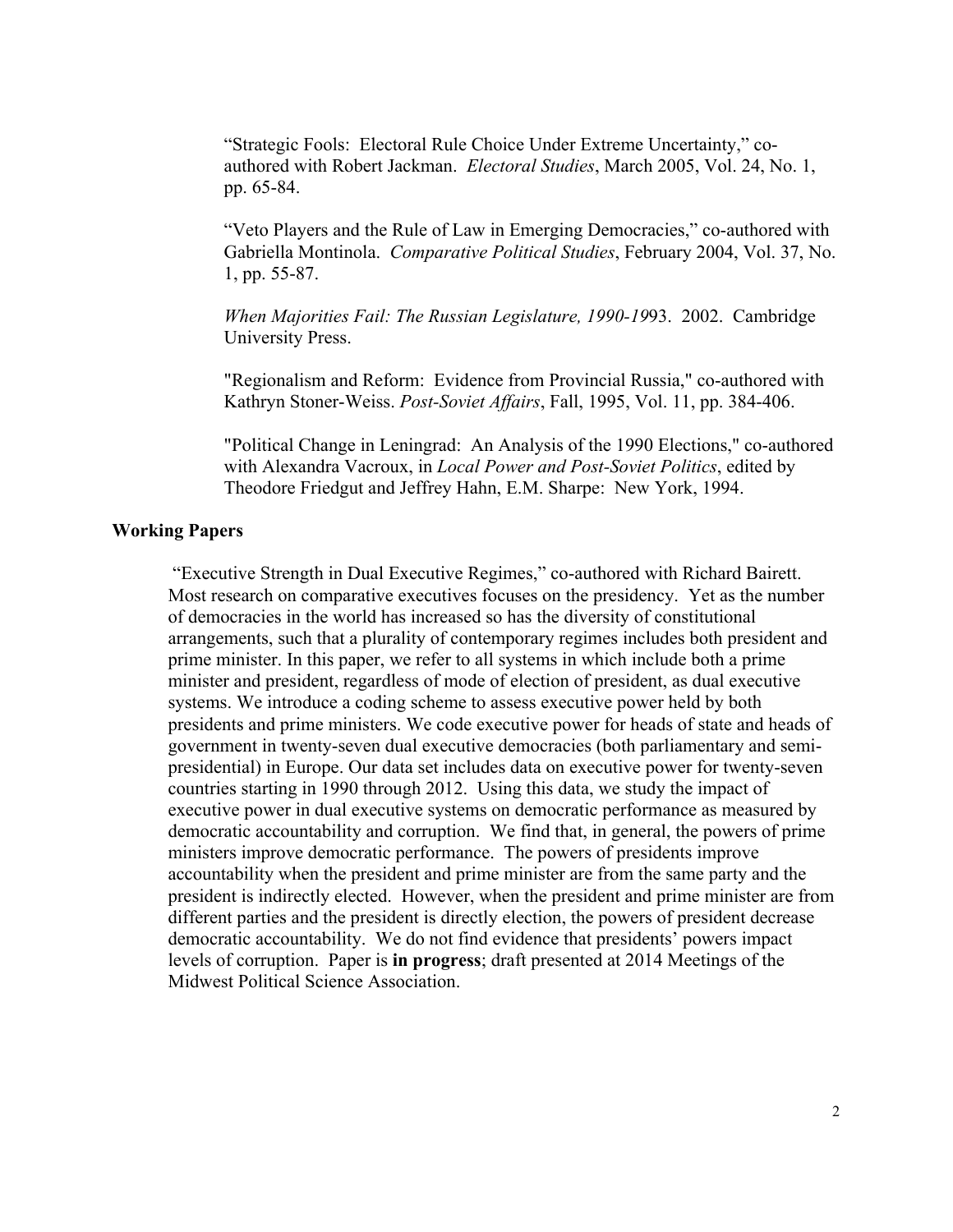"Strategic Fools: Electoral Rule Choice Under Extreme Uncertainty," coauthored with Robert Jackman. *Electoral Studies*, March 2005, Vol. 24, No. 1, pp. 65-84.

"Veto Players and the Rule of Law in Emerging Democracies," co-authored with Gabriella Montinola. *Comparative Political Studies*, February 2004, Vol. 37, No. 1, pp. 55-87.

*When Majorities Fail: The Russian Legislature, 1990-19*93. 2002. Cambridge University Press.

"Regionalism and Reform: Evidence from Provincial Russia," co-authored with Kathryn Stoner-Weiss. *Post-Soviet Affairs*, Fall, 1995, Vol. 11, pp. 384-406.

"Political Change in Leningrad: An Analysis of the 1990 Elections," co-authored with Alexandra Vacroux, in *Local Power and Post-Soviet Politics*, edited by Theodore Friedgut and Jeffrey Hahn, E.M. Sharpe: New York, 1994.

### **Working Papers**

"Executive Strength in Dual Executive Regimes," co-authored with Richard Bairett. Most research on comparative executives focuses on the presidency. Yet as the number of democracies in the world has increased so has the diversity of constitutional arrangements, such that a plurality of contemporary regimes includes both president and prime minister. In this paper, we refer to all systems in which include both a prime minister and president, regardless of mode of election of president, as dual executive systems. We introduce a coding scheme to assess executive power held by both presidents and prime ministers. We code executive power for heads of state and heads of government in twenty-seven dual executive democracies (both parliamentary and semipresidential) in Europe. Our data set includes data on executive power for twenty-seven countries starting in 1990 through 2012. Using this data, we study the impact of executive power in dual executive systems on democratic performance as measured by democratic accountability and corruption. We find that, in general, the powers of prime ministers improve democratic performance. The powers of presidents improve accountability when the president and prime minister are from the same party and the president is indirectly elected. However, when the president and prime minister are from different parties and the president is directly election, the powers of president decrease democratic accountability. We do not find evidence that presidents' powers impact levels of corruption. Paper is **in progress**; draft presented at 2014 Meetings of the Midwest Political Science Association.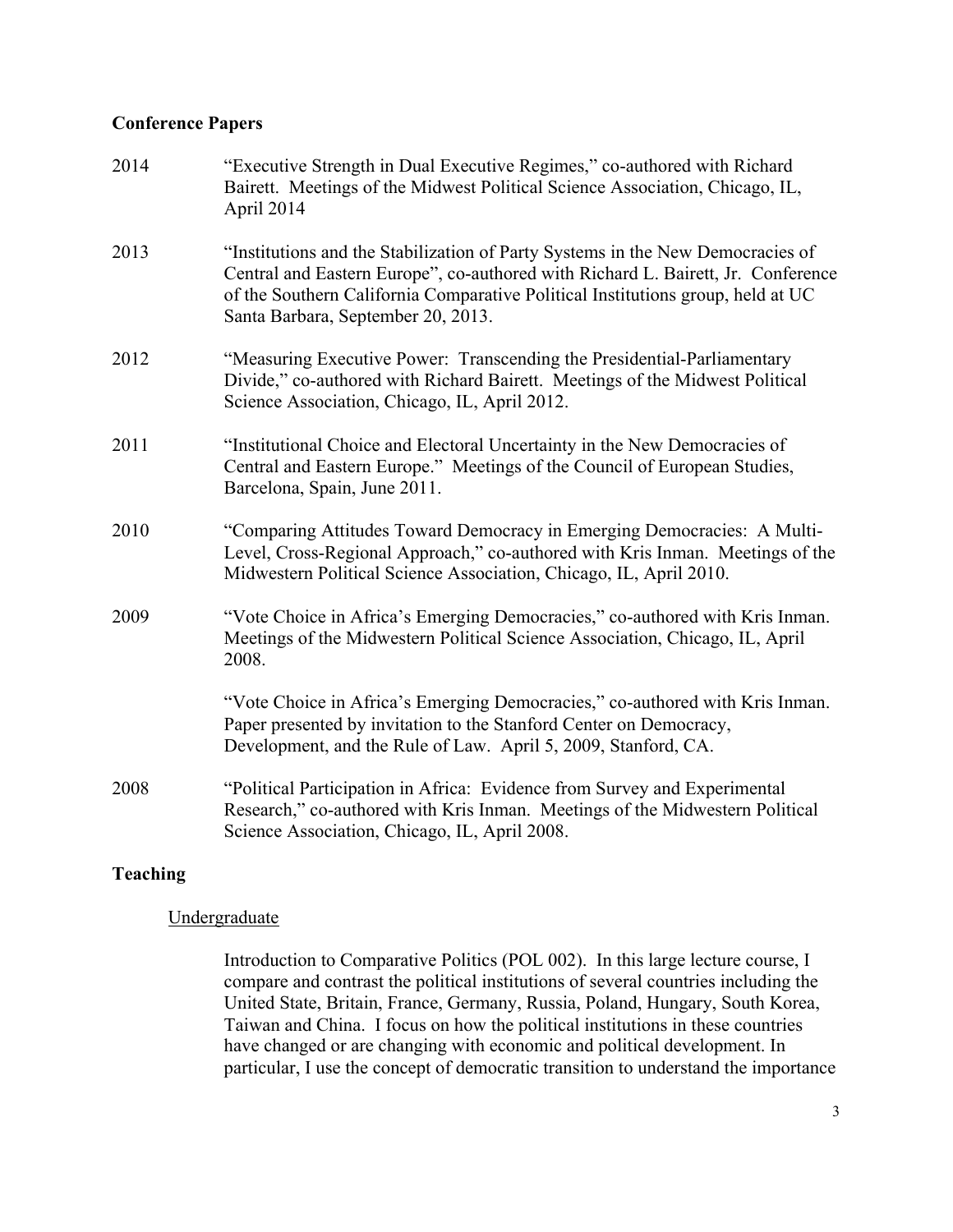## **Conference Papers**

| 2014 | "Executive Strength in Dual Executive Regimes," co-authored with Richard<br>Bairett. Meetings of the Midwest Political Science Association, Chicago, IL,<br>April 2014                                                                                                                      |
|------|---------------------------------------------------------------------------------------------------------------------------------------------------------------------------------------------------------------------------------------------------------------------------------------------|
| 2013 | "Institutions and the Stabilization of Party Systems in the New Democracies of<br>Central and Eastern Europe", co-authored with Richard L. Bairett, Jr. Conference<br>of the Southern California Comparative Political Institutions group, held at UC<br>Santa Barbara, September 20, 2013. |
| 2012 | "Measuring Executive Power: Transcending the Presidential-Parliamentary<br>Divide," co-authored with Richard Bairett. Meetings of the Midwest Political<br>Science Association, Chicago, IL, April 2012.                                                                                    |
| 2011 | "Institutional Choice and Electoral Uncertainty in the New Democracies of<br>Central and Eastern Europe." Meetings of the Council of European Studies,<br>Barcelona, Spain, June 2011.                                                                                                      |
| 2010 | "Comparing Attitudes Toward Democracy in Emerging Democracies: A Multi-<br>Level, Cross-Regional Approach," co-authored with Kris Inman. Meetings of the<br>Midwestern Political Science Association, Chicago, IL, April 2010.                                                              |
| 2009 | "Vote Choice in Africa's Emerging Democracies," co-authored with Kris Inman.<br>Meetings of the Midwestern Political Science Association, Chicago, IL, April<br>2008.                                                                                                                       |
|      | "Vote Choice in Africa's Emerging Democracies," co-authored with Kris Inman.<br>Paper presented by invitation to the Stanford Center on Democracy,<br>Development, and the Rule of Law. April 5, 2009, Stanford, CA.                                                                        |
| 2008 | "Political Participation in Africa: Evidence from Survey and Experimental<br>Research," co-authored with Kris Inman. Meetings of the Midwestern Political<br>Science Association, Chicago, IL, April 2008.                                                                                  |

# **Teaching**

### Undergraduate

Introduction to Comparative Politics (POL 002). In this large lecture course, I compare and contrast the political institutions of several countries including the United State, Britain, France, Germany, Russia, Poland, Hungary, South Korea, Taiwan and China. I focus on how the political institutions in these countries have changed or are changing with economic and political development. In particular, I use the concept of democratic transition to understand the importance